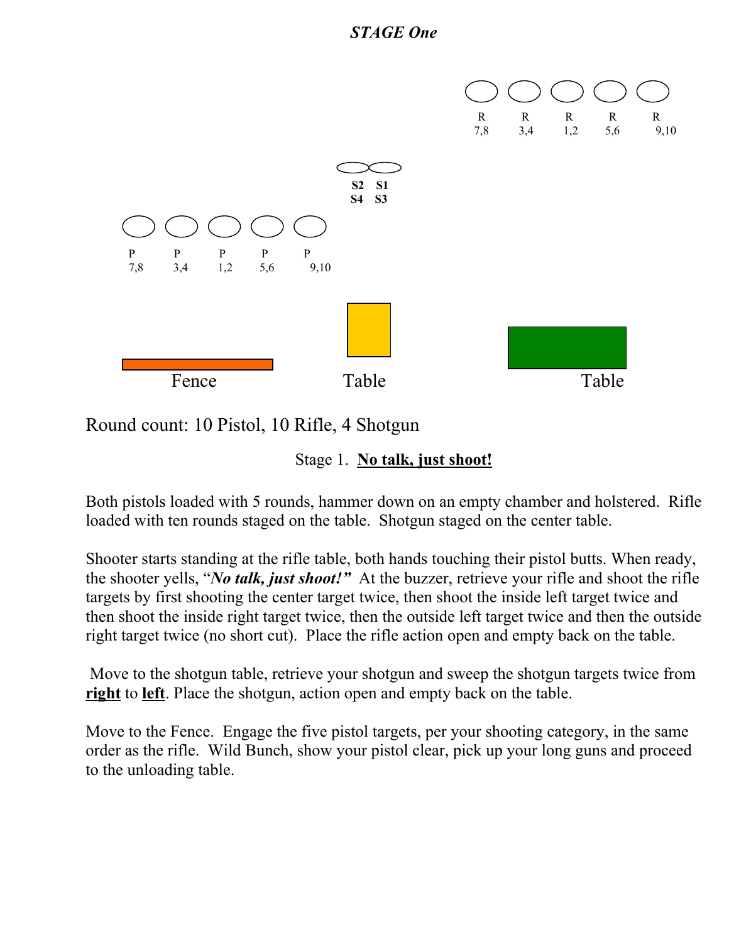

Round count: 10 Pistol, 10 Rifle, 4 Shotgun

Stage 1. **No talk, just shoot!**

Both pistols loaded with 5 rounds, hammer down on an empty chamber and holstered. Rifle loaded with ten rounds staged on the table. Shotgun staged on the center table.

Shooter starts standing at the rifle table, both hands touching their pistol butts. When ready, the shooter yells, "*No talk, just shoot!"* At the buzzer, retrieve your rifle and shoot the rifle targets by first shooting the center target twice, then shoot the inside left target twice and then shoot the inside right target twice, then the outside left target twice and then the outside right target twice (no short cut). Place the rifle action open and empty back on the table.

Move to the shotgun table, retrieve your shotgun and sweep the shotgun targets twice from **right** to **left**. Place the shotgun, action open and empty back on the table.

Move to the Fence. Engage the five pistol targets, per your shooting category, in the same order as the rifle. Wild Bunch, show your pistol clear, pick up your long guns and proceed to the unloading table.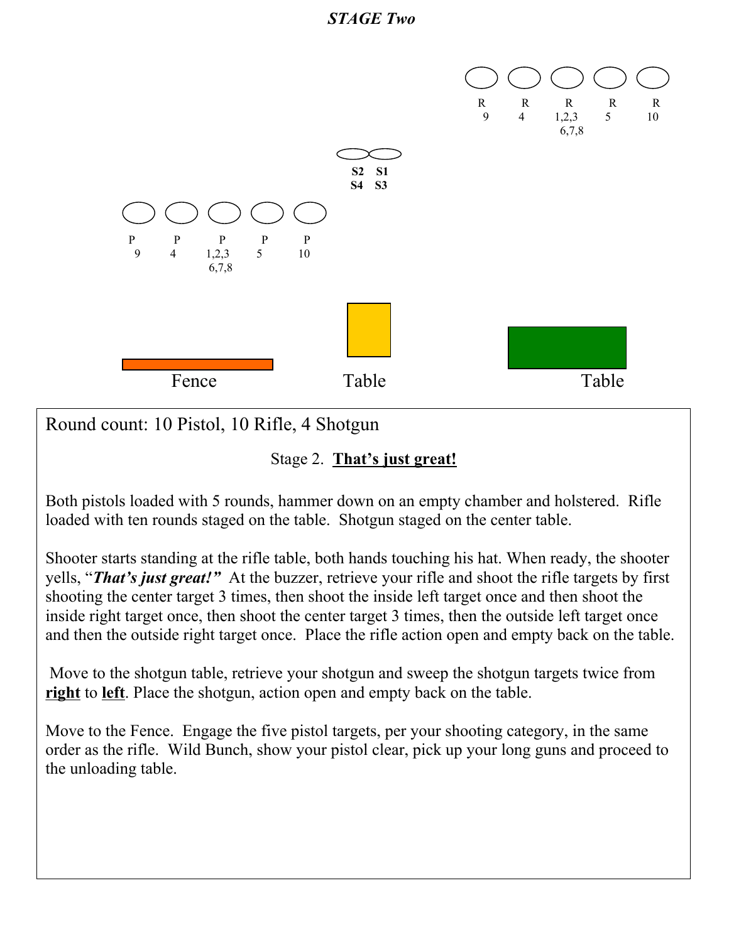



Round count: 10 Pistol, 10 Rifle, 4 Shotgun

#### Stage 2. **That's just great!**

Both pistols loaded with 5 rounds, hammer down on an empty chamber and holstered. Rifle loaded with ten rounds staged on the table. Shotgun staged on the center table.

Shooter starts standing at the rifle table, both hands touching his hat. When ready, the shooter yells, "*That's just great!"* At the buzzer, retrieve your rifle and shoot the rifle targets by first shooting the center target 3 times, then shoot the inside left target once and then shoot the inside right target once, then shoot the center target 3 times, then the outside left target once and then the outside right target once. Place the rifle action open and empty back on the table.

Move to the shotgun table, retrieve your shotgun and sweep the shotgun targets twice from **right** to **left**. Place the shotgun, action open and empty back on the table.

Move to the Fence. Engage the five pistol targets, per your shooting category, in the same order as the rifle. Wild Bunch, show your pistol clear, pick up your long guns and proceed to the unloading table.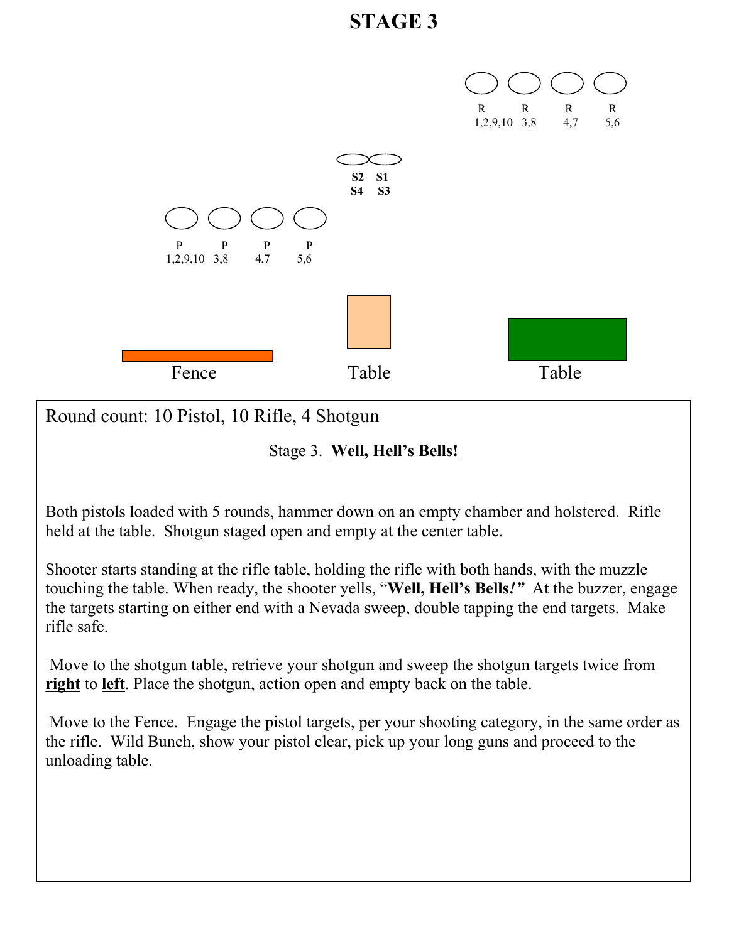# **STAGE 3**



Round count: 10 Pistol, 10 Rifle, 4 Shotgun

Stage 3. **Well, Hell's Bells!**

Both pistols loaded with 5 rounds, hammer down on an empty chamber and holstered. Rifle held at the table. Shotgun staged open and empty at the center table.

Shooter starts standing at the rifle table, holding the rifle with both hands, with the muzzle touching the table. When ready, the shooter yells, "**Well, Hell's Bells***!"* At the buzzer, engage the targets starting on either end with a Nevada sweep, double tapping the end targets. Make rifle safe.

Move to the shotgun table, retrieve your shotgun and sweep the shotgun targets twice from **right** to **left**. Place the shotgun, action open and empty back on the table.

Move to the Fence. Engage the pistol targets, per your shooting category, in the same order as the rifle. Wild Bunch, show your pistol clear, pick up your long guns and proceed to the unloading table.